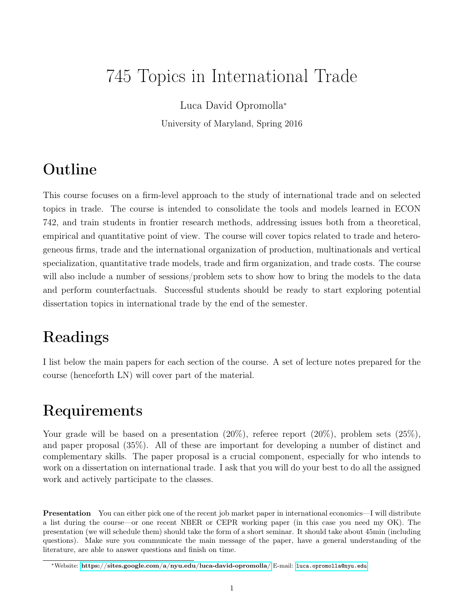# 745 Topics in International Trade

Luca David Opromolla<sup>∗</sup>

University of Maryland, Spring 2016

### Outline

This course focuses on a firm-level approach to the study of international trade and on selected topics in trade. The course is intended to consolidate the tools and models learned in ECON 742, and train students in frontier research methods, addressing issues both from a theoretical, empirical and quantitative point of view. The course will cover topics related to trade and heterogeneous firms, trade and the international organization of production, multinationals and vertical specialization, quantitative trade models, trade and firm organization, and trade costs. The course will also include a number of sessions/problem sets to show how to bring the models to the data and perform counterfactuals. Successful students should be ready to start exploring potential dissertation topics in international trade by the end of the semester.

## Readings

I list below the main papers for each section of the course. A set of lecture notes prepared for the course (henceforth LN) will cover part of the material.

### Requirements

Your grade will be based on a presentation  $(20\%)$ , referee report  $(20\%)$ , problem sets  $(25\%)$ , and paper proposal (35%). All of these are important for developing a number of distinct and complementary skills. The paper proposal is a crucial component, especially for who intends to work on a dissertation on international trade. I ask that you will do your best to do all the assigned work and actively participate to the classes.

Presentation You can either pick one of the recent job market paper in international economics—I will distribute a list during the course—or one recent NBER or CEPR working paper (in this case you need my OK). The presentation (we will schedule them) should take the form of a short seminar. It should take about 45min (including questions). Make sure you communicate the main message of the paper, have a general understanding of the literature, are able to answer questions and finish on time.

<sup>∗</sup>Website: <https://sites.google.com/a/nyu.edu/luca-david-opromolla/> E-mail: [luca.opromolla@nyu.edu](mailto:luca.opromolla@nyu.edu)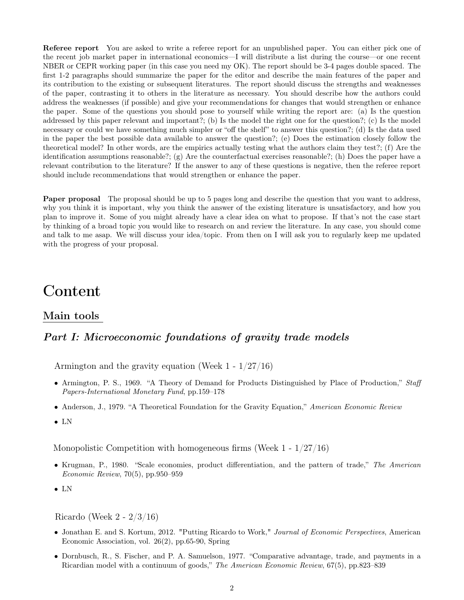Referee report You are asked to write a referee report for an unpublished paper. You can either pick one of the recent job market paper in international economics—I will distribute a list during the course—or one recent NBER or CEPR working paper (in this case you need my OK). The report should be 3-4 pages double spaced. The first 1-2 paragraphs should summarize the paper for the editor and describe the main features of the paper and its contribution to the existing or subsequent literatures. The report should discuss the strengths and weaknesses of the paper, contrasting it to others in the literature as necessary. You should describe how the authors could address the weaknesses (if possible) and give your recommendations for changes that would strengthen or enhance the paper. Some of the questions you should pose to yourself while writing the report are: (a) Is the question addressed by this paper relevant and important?; (b) Is the model the right one for the question?; (c) Is the model necessary or could we have something much simpler or "off the shelf" to answer this question?; (d) Is the data used in the paper the best possible data available to answer the question?; (e) Does the estimation closely follow the theoretical model? In other words, are the empirics actually testing what the authors claim they test?; (f) Are the identification assumptions reasonable?; (g) Are the counterfactual exercises reasonable?; (h) Does the paper have a relevant contribution to the literature? If the answer to any of these questions is negative, then the referee report should include recommendations that would strengthen or enhance the paper.

Paper proposal The proposal should be up to 5 pages long and describe the question that you want to address, why you think it is important, why you think the answer of the existing literature is unsatisfactory, and how you plan to improve it. Some of you might already have a clear idea on what to propose. If that's not the case start by thinking of a broad topic you would like to research on and review the literature. In any case, you should come and talk to me asap. We will discuss your idea/topic. From then on I will ask you to regularly keep me updated with the progress of your proposal.

### Content

#### Main tools

#### Part I: Microeconomic foundations of gravity trade models

Armington and the gravity equation (Week 1 - 1/27/16)

- Armington, P. S., 1969. "A Theory of Demand for Products Distinguished by Place of Production," Staff Papers-International Monetary Fund, pp.159–178
- Anderson, J., 1979. "A Theoretical Foundation for the Gravity Equation," American Economic Review
- LN

Monopolistic Competition with homogeneous firms (Week 1 - 1/27/16)

- Krugman, P., 1980. "Scale economies, product differentiation, and the pattern of trade," The American Economic Review, 70(5), pp.950–959
- LN

Ricardo (Week 2 - 2/3/16)

- Jonathan E. and S. Kortum, 2012. "Putting Ricardo to Work," Journal of Economic Perspectives, American Economic Association, vol. 26(2), pp.65-90, Spring
- Dornbusch, R., S. Fischer, and P. A. Samuelson, 1977. "Comparative advantage, trade, and payments in a Ricardian model with a continuum of goods," The American Economic Review, 67(5), pp.823–839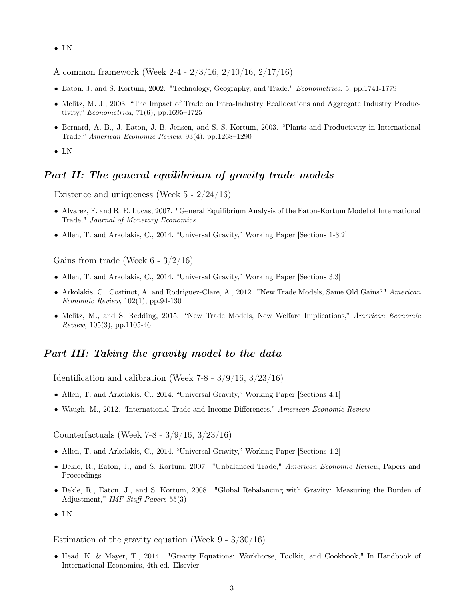- LN
- A common framework (Week 2-4 2/3/16, 2/10/16, 2/17/16)
- Eaton, J. and S. Kortum, 2002. "Technology, Geography, and Trade." Econometrica, 5, pp.1741-1779
- Melitz, M. J., 2003. "The Impact of Trade on Intra-Industry Reallocations and Aggregate Industry Productivity," Econometrica, 71(6), pp.1695–1725
- Bernard, A. B., J. Eaton, J. B. Jensen, and S. S. Kortum, 2003. "Plants and Productivity in International Trade," American Economic Review, 93(4), pp.1268–1290
- LN

#### Part II: The general equilibrium of gravity trade models

Existence and uniqueness (Week 5 - 2/24/16)

- Alvarez, F. and R. E. Lucas, 2007. "General Equilibrium Analysis of the Eaton-Kortum Model of International Trade," Journal of Monetary Economics
- Allen, T. and Arkolakis, C., 2014. "Universal Gravity," Working Paper [Sections 1-3.2]

Gains from trade (Week  $6 - 3/2/16$ )

- Allen, T. and Arkolakis, C., 2014. "Universal Gravity," Working Paper [Sections 3.3]
- Arkolakis, C., Costinot, A. and Rodriguez-Clare, A., 2012. "New Trade Models, Same Old Gains?" American Economic Review, 102(1), pp.94-130
- Melitz, M., and S. Redding, 2015. "New Trade Models, New Welfare Implications," American Economic Review, 105(3), pp.1105-46

#### Part III: Taking the gravity model to the data

Identification and calibration (Week  $7-8 - \frac{3}{9}$  /16,  $\frac{3}{23}$ /16)

- Allen, T. and Arkolakis, C., 2014. "Universal Gravity," Working Paper [Sections 4.1]
- Waugh, M., 2012. "International Trade and Income Differences." American Economic Review

Counterfactuals (Week 7-8 - 3/9/16, 3/23/16)

- Allen, T. and Arkolakis, C., 2014. "Universal Gravity," Working Paper [Sections 4.2]
- Dekle, R., Eaton, J., and S. Kortum, 2007. "Unbalanced Trade," American Economic Review, Papers and Proceedings
- Dekle, R., Eaton, J., and S. Kortum, 2008. "Global Rebalancing with Gravity: Measuring the Burden of Adjustment," IMF Staff Papers 55(3)
- LN

Estimation of the gravity equation (Week  $9 - 3/30/16$ )

• Head, K. & Mayer, T., 2014. "Gravity Equations: Workhorse, Toolkit, and Cookbook," In Handbook of International Economics, 4th ed. Elsevier